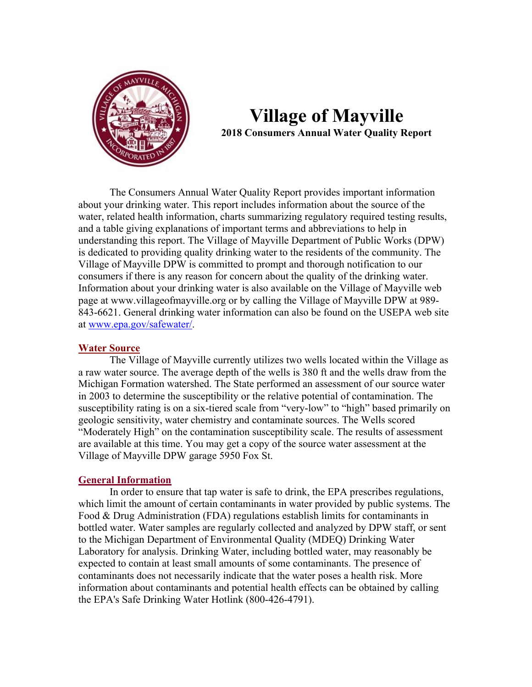

## **Village of Mayville 2018 Consumers Annual Water Quality Report**

The Consumers Annual Water Quality Report provides important information about your drinking water. This report includes information about the source of the water, related health information, charts summarizing regulatory required testing results, and a table giving explanations of important terms and abbreviations to help in understanding this report. The Village of Mayville Department of Public Works (DPW) is dedicated to providing quality drinking water to the residents of the community. The Village of Mayville DPW is committed to prompt and thorough notification to our consumers if there is any reason for concern about the quality of the drinking water. Information about your drinking water is also available on the Village of Mayville web page at www.villageofmayville.org or by calling the Village of Mayville DPW at 989- 843-6621. General drinking water information can also be found on the USEPA web site at www.epa.gov/safewater/.

## **Water Source**

The Village of Mayville currently utilizes two wells located within the Village as a raw water source. The average depth of the wells is 380 ft and the wells draw from the Michigan Formation watershed. The State performed an assessment of our source water in 2003 to determine the susceptibility or the relative potential of contamination. The susceptibility rating is on a six-tiered scale from "very-low" to "high" based primarily on geologic sensitivity, water chemistry and contaminate sources. The Wells scored "Moderately High" on the contamination susceptibility scale. The results of assessment are available at this time. You may get a copy of the source water assessment at the Village of Mayville DPW garage 5950 Fox St.

## **General Information**

In order to ensure that tap water is safe to drink, the EPA prescribes regulations, which limit the amount of certain contaminants in water provided by public systems. The Food & Drug Administration (FDA) regulations establish limits for contaminants in bottled water. Water samples are regularly collected and analyzed by DPW staff, or sent to the Michigan Department of Environmental Quality (MDEQ) Drinking Water Laboratory for analysis. Drinking Water, including bottled water, may reasonably be expected to contain at least small amounts of some contaminants. The presence of contaminants does not necessarily indicate that the water poses a health risk. More information about contaminants and potential health effects can be obtained by calling the EPA's Safe Drinking Water Hotlink (800-426-4791).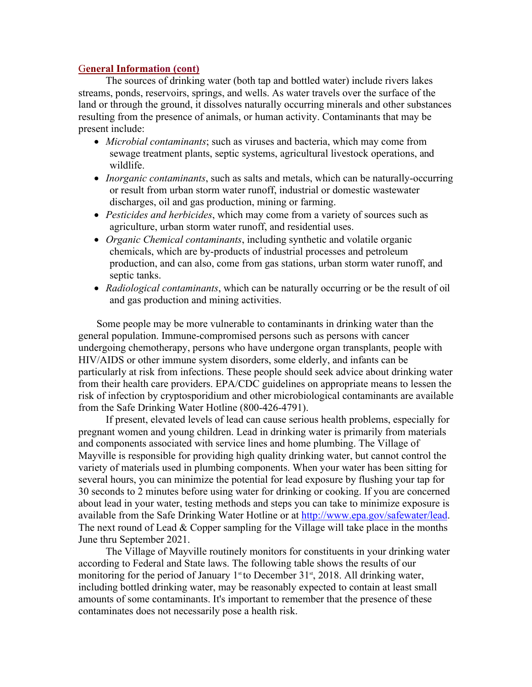## G**eneral Information (cont)**

The sources of drinking water (both tap and bottled water) include rivers lakes streams, ponds, reservoirs, springs, and wells. As water travels over the surface of the land or through the ground, it dissolves naturally occurring minerals and other substances resulting from the presence of animals, or human activity. Contaminants that may be present include:

- *Microbial contaminants*; such as viruses and bacteria, which may come from sewage treatment plants, septic systems, agricultural livestock operations, and wildlife.
- *Inorganic contaminants*, such as salts and metals, which can be naturally-occurring or result from urban storm water runoff, industrial or domestic wastewater discharges, oil and gas production, mining or farming.
- *Pesticides and herbicides*, which may come from a variety of sources such as agriculture, urban storm water runoff, and residential uses.
- *Organic Chemical contaminants*, including synthetic and volatile organic chemicals, which are by-products of industrial processes and petroleum production, and can also, come from gas stations, urban storm water runoff, and septic tanks.
- *Radiological contaminants*, which can be naturally occurring or be the result of oil and gas production and mining activities.

Some people may be more vulnerable to contaminants in drinking water than the general population. Immune-compromised persons such as persons with cancer undergoing chemotherapy, persons who have undergone organ transplants, people with HIV/AIDS or other immune system disorders, some elderly, and infants can be particularly at risk from infections. These people should seek advice about drinking water from their health care providers. EPA/CDC guidelines on appropriate means to lessen the risk of infection by cryptosporidium and other microbiological contaminants are available from the Safe Drinking Water Hotline (800-426-4791).

If present, elevated levels of lead can cause serious health problems, especially for pregnant women and young children. Lead in drinking water is primarily from materials and components associated with service lines and home plumbing. The Village of Mayville is responsible for providing high quality drinking water, but cannot control the variety of materials used in plumbing components. When your water has been sitting for several hours, you can minimize the potential for lead exposure by flushing your tap for 30 seconds to 2 minutes before using water for drinking or cooking. If you are concerned about lead in your water, testing methods and steps you can take to minimize exposure is available from the Safe Drinking Water Hotline or at http://www.epa.gov/safewater/lead. The next round of Lead & Copper sampling for the Village will take place in the months June thru September 2021.

The Village of Mayville routinely monitors for constituents in your drinking water according to Federal and State laws. The following table shows the results of our monitoring for the period of January  $1<sup>st</sup>$  to December 31<sup>st</sup>, 2018. All drinking water, including bottled drinking water, may be reasonably expected to contain at least small amounts of some contaminants. It's important to remember that the presence of these contaminates does not necessarily pose a health risk.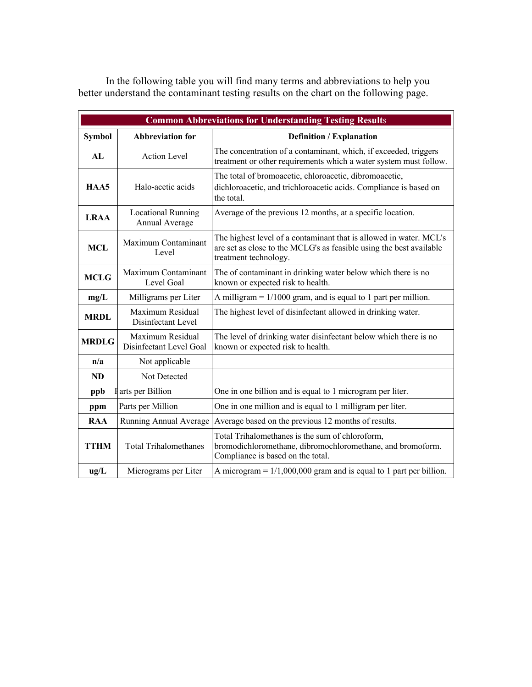| <b>Common Abbreviations for Understanding Testing Results</b> |                                             |                                                                                                                                                                    |  |  |  |  |  |
|---------------------------------------------------------------|---------------------------------------------|--------------------------------------------------------------------------------------------------------------------------------------------------------------------|--|--|--|--|--|
| <b>Symbol</b>                                                 | <b>Abbreviation for</b>                     | <b>Definition / Explanation</b>                                                                                                                                    |  |  |  |  |  |
| AL                                                            | <b>Action Level</b>                         | The concentration of a contaminant, which, if exceeded, triggers<br>treatment or other requirements which a water system must follow.                              |  |  |  |  |  |
| HAA5                                                          | Halo-acetic acids                           | The total of bromoacetic, chloroacetic, dibromoacetic,<br>dichloroacetic, and trichloroacetic acids. Compliance is based on<br>the total.                          |  |  |  |  |  |
| <b>LRAA</b>                                                   | <b>Locational Running</b><br>Annual Average | Average of the previous 12 months, at a specific location.                                                                                                         |  |  |  |  |  |
| <b>MCL</b>                                                    | Maximum Contaminant<br>Level                | The highest level of a contaminant that is allowed in water. MCL's<br>are set as close to the MCLG's as feasible using the best available<br>treatment technology. |  |  |  |  |  |
| <b>MCLG</b>                                                   | Maximum Contaminant<br>Level Goal           | The of contaminant in drinking water below which there is no<br>known or expected risk to health.                                                                  |  |  |  |  |  |
| mg/L                                                          | Milligrams per Liter                        | A milligram $= 1/1000$ gram, and is equal to 1 part per million.                                                                                                   |  |  |  |  |  |
| <b>MRDL</b>                                                   | Maximum Residual<br>Disinfectant Level      | The highest level of disinfectant allowed in drinking water.                                                                                                       |  |  |  |  |  |
| <b>MRDLG</b>                                                  | Maximum Residual<br>Disinfectant Level Goal | The level of drinking water disinfectant below which there is no<br>known or expected risk to health.                                                              |  |  |  |  |  |
| n/a                                                           | Not applicable                              |                                                                                                                                                                    |  |  |  |  |  |
| <b>ND</b>                                                     | Not Detected                                |                                                                                                                                                                    |  |  |  |  |  |
| I arts per Billion<br>ppb                                     |                                             | One in one billion and is equal to 1 microgram per liter.                                                                                                          |  |  |  |  |  |
| ppm                                                           | Parts per Million                           | One in one million and is equal to 1 milligram per liter.                                                                                                          |  |  |  |  |  |
| <b>RAA</b>                                                    | Running Annual Average                      | Average based on the previous 12 months of results.                                                                                                                |  |  |  |  |  |
| <b>TTHM</b>                                                   | <b>Total Trihalomethanes</b>                | Total Trihalomethanes is the sum of chloroform,<br>bromodichloromethane, dibromochloromethane, and bromoform.<br>Compliance is based on the total.                 |  |  |  |  |  |
| ug/L                                                          | Micrograms per Liter                        | A microgram = $1/1,000,000$ gram and is equal to 1 part per billion.                                                                                               |  |  |  |  |  |

In the following table you will find many terms and abbreviations to help you better understand the contaminant testing results on the chart on the following page.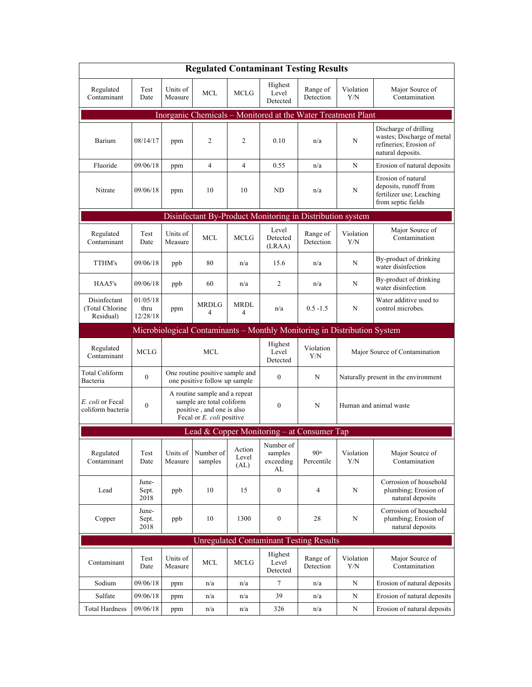| <b>Regulated Contaminant Testing Results</b>                             |                              |                                                                                                                      |                      |                         |                                              |                                |                                      |                                                                                                    |  |  |  |
|--------------------------------------------------------------------------|------------------------------|----------------------------------------------------------------------------------------------------------------------|----------------------|-------------------------|----------------------------------------------|--------------------------------|--------------------------------------|----------------------------------------------------------------------------------------------------|--|--|--|
| Regulated<br>Contaminant                                                 | Test<br>Date                 | Units of<br>Measure                                                                                                  | <b>MCL</b>           | MCLG                    | Highest<br>Level<br>Detected                 | Range of<br>Detection          | Violation<br>Y/N                     | Major Source of<br>Contamination                                                                   |  |  |  |
| Inorganic Chemicals - Monitored at the Water Treatment Plant             |                              |                                                                                                                      |                      |                         |                                              |                                |                                      |                                                                                                    |  |  |  |
| Barium                                                                   | 08/14/17                     | ppm                                                                                                                  | 2                    | $\overline{c}$          | 0.10                                         | n/a                            | N                                    | Discharge of drilling<br>wastes; Discharge of metal<br>refineries; Erosion of<br>natural deposits. |  |  |  |
| Fluoride                                                                 | 09/06/18                     | ppm                                                                                                                  | $\overline{4}$       | $\overline{4}$          | 0.55                                         | n/a                            | N                                    | Erosion of natural deposits                                                                        |  |  |  |
| Nitrate                                                                  | 09/06/18                     | ppm                                                                                                                  | 10                   | 10                      | ND                                           | n/a                            | N                                    | Erosion of natural<br>deposits, runoff from<br>fertilizer use; Leaching<br>from septic fields      |  |  |  |
| Disinfectant By-Product Monitoring in Distribution system                |                              |                                                                                                                      |                      |                         |                                              |                                |                                      |                                                                                                    |  |  |  |
| Regulated<br>Contaminant                                                 | Test<br>Date                 | Units of<br>Measure                                                                                                  | MCL                  | <b>MCLG</b>             | Level<br>Detected<br>(LRAA)                  | Range of<br>Detection          | Violation<br>Y/N                     | Major Source of<br>Contamination                                                                   |  |  |  |
| TTHM's                                                                   | 09/06/18                     | ppb                                                                                                                  | 80                   | n/a                     | 15.6                                         | n/a                            | N                                    | By-product of drinking<br>water disinfection                                                       |  |  |  |
| HAA5's                                                                   | 09/06/18                     | ppb                                                                                                                  | 60                   | n/a                     | 2                                            | n/a                            | N                                    | By-product of drinking<br>water disinfection                                                       |  |  |  |
| Disinfectant<br>(Total Chlorine<br>Residual)                             | 01/05/18<br>thru<br>12/28/18 | ppm                                                                                                                  | <b>MRDLG</b><br>4    | MRDL<br>4               | n/a                                          | $0.5 - 1.5$                    | N                                    | Water additive used to<br>control microbes.                                                        |  |  |  |
| Microbiological Contaminants - Monthly Monitoring in Distribution System |                              |                                                                                                                      |                      |                         |                                              |                                |                                      |                                                                                                    |  |  |  |
| Regulated<br>Contaminant                                                 | <b>MCLG</b>                  | <b>MCL</b>                                                                                                           |                      |                         | Highest<br>Level<br>Detected                 | Violation<br>Y/N               | Major Source of Contamination        |                                                                                                    |  |  |  |
| Total Coliform<br>Bacteria                                               | $\overline{0}$               | One routine positive sample and<br>one positive follow up sample                                                     |                      |                         | $\mathbf{0}$                                 | N                              | Naturally present in the environment |                                                                                                    |  |  |  |
| E. coli or Fecal<br>coliform bacteria                                    | $\mathbf{0}$                 | A routine sample and a repeat<br>sample are total coliform<br>positive, and one is also<br>Fecal or E. coli positive |                      |                         | $\mathbf{0}$                                 | N                              | Human and animal waste               |                                                                                                    |  |  |  |
|                                                                          |                              |                                                                                                                      |                      |                         | Lead & Copper Monitoring $-$ at Consumer Tap |                                |                                      |                                                                                                    |  |  |  |
| Regulated<br>Contaminant                                                 | Test<br>Date                 | Units of<br>Measure                                                                                                  | Number of<br>samples | Action<br>Level<br>(AL) | Number of<br>samples<br>exceeding<br>AL      | 90 <sup>th</sup><br>Percentile | Violation<br>Y/N                     | Major Source of<br>Contamination                                                                   |  |  |  |
| Lead                                                                     | June-<br>Sept.<br>2018       | ppb                                                                                                                  | 10                   | 15                      | $\boldsymbol{0}$                             | $\overline{4}$                 | N                                    | Corrosion of household<br>plumbing; Erosion of<br>natural deposits                                 |  |  |  |
| Copper                                                                   | June-<br>Sept.<br>2018       | ppb                                                                                                                  | 10                   | 1300                    | $\boldsymbol{0}$                             | 28                             | N                                    | Corrosion of household<br>plumbing; Erosion of<br>natural deposits                                 |  |  |  |
| <b>Unregulated Contaminant Testing Results</b>                           |                              |                                                                                                                      |                      |                         |                                              |                                |                                      |                                                                                                    |  |  |  |
| Contaminant                                                              | Test<br>Date                 | Units of<br>Measure                                                                                                  | MCL                  | MCLG                    | Highest<br>Level<br>Detected                 | Range of<br>Detection          | Violation<br>Y/N                     | Major Source of<br>Contamination                                                                   |  |  |  |
| Sodium                                                                   | 09/06/18                     | ppm                                                                                                                  | n/a                  | n/a                     | 7                                            | n/a                            | N                                    | Erosion of natural deposits                                                                        |  |  |  |
| Sulfate                                                                  | 09/06/18                     | ppm                                                                                                                  | n/a                  | n/a                     | 39                                           | n/a                            | N                                    | Erosion of natural deposits                                                                        |  |  |  |
| <b>Total Hardness</b>                                                    | 09/06/18                     | ppm                                                                                                                  | n/a                  | n/a                     | 326                                          | n/a                            | N                                    | Erosion of natural deposits                                                                        |  |  |  |